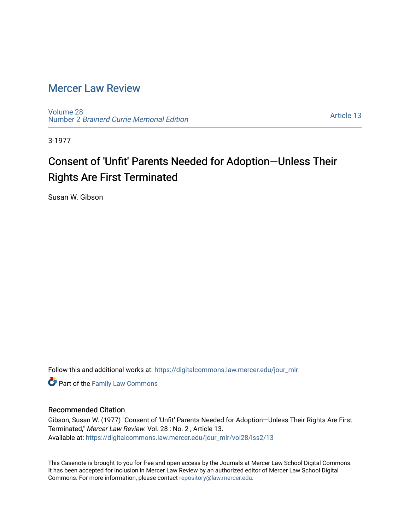### [Mercer Law Review](https://digitalcommons.law.mercer.edu/jour_mlr)

[Volume 28](https://digitalcommons.law.mercer.edu/jour_mlr/vol28) Number 2 [Brainerd Currie Memorial Edition](https://digitalcommons.law.mercer.edu/jour_mlr/vol28/iss2) 

[Article 13](https://digitalcommons.law.mercer.edu/jour_mlr/vol28/iss2/13) 

3-1977

# Consent of 'Unfit' Parents Needed for Adoption—Unless Their Rights Are First Terminated

Susan W. Gibson

Follow this and additional works at: [https://digitalcommons.law.mercer.edu/jour\\_mlr](https://digitalcommons.law.mercer.edu/jour_mlr?utm_source=digitalcommons.law.mercer.edu%2Fjour_mlr%2Fvol28%2Fiss2%2F13&utm_medium=PDF&utm_campaign=PDFCoverPages)

Part of the [Family Law Commons](http://network.bepress.com/hgg/discipline/602?utm_source=digitalcommons.law.mercer.edu%2Fjour_mlr%2Fvol28%2Fiss2%2F13&utm_medium=PDF&utm_campaign=PDFCoverPages) 

#### Recommended Citation

Gibson, Susan W. (1977) "Consent of 'Unfit' Parents Needed for Adoption—Unless Their Rights Are First Terminated," Mercer Law Review: Vol. 28 : No. 2 , Article 13. Available at: [https://digitalcommons.law.mercer.edu/jour\\_mlr/vol28/iss2/13](https://digitalcommons.law.mercer.edu/jour_mlr/vol28/iss2/13?utm_source=digitalcommons.law.mercer.edu%2Fjour_mlr%2Fvol28%2Fiss2%2F13&utm_medium=PDF&utm_campaign=PDFCoverPages) 

This Casenote is brought to you for free and open access by the Journals at Mercer Law School Digital Commons. It has been accepted for inclusion in Mercer Law Review by an authorized editor of Mercer Law School Digital Commons. For more information, please contact [repository@law.mercer.edu.](mailto:repository@law.mercer.edu)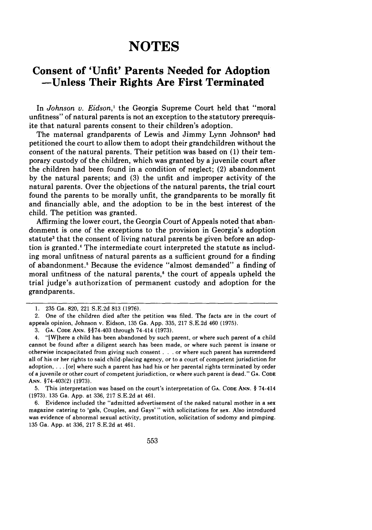## **NOTES**

### **Consent of 'Unfit' Parents Needed for Adoption -Unless Their Rights Are First Terminated**

In *Johnson v. Eidson,1* the Georgia Supreme Court held that "moral unfitness" of natural parents is not an exception to the statutory prerequisite that natural parents consent to their children's adoption.

The maternal grandparents of Lewis and Jimmy Lynn Johnson' had petitioned the court to allow them to adopt their grandchildren without the consent of the natural parents. Their petition was based on (1) their temporary custody of the children, which was granted by a juvenile court after the children had been found in a condition of neglect; (2) abandonment by the natural parents; and (3) the unfit and improper activity of the natural parents. Over the objections of the natural parents, the trial court found the parents to be morally unfit, the grandparents to be morally fit and financially able, and the adoption to be in the best interest of the child. The petition was granted.

Affirming the lower court, the Georgia Court of Appeals noted that abandonment is one of the exceptions to the provision in Georgia's adoption statute<sup>3</sup> that the consent of living natural parents be given before an adoption is granted.' The intermediate court interpreted the statute as including moral unfitness of natural parents as a sufficient ground for a finding of abandonment. ' Because the evidence "almost demanded" a finding of moral unfitness of the natural parents,<sup>6</sup> the court of appeals upheld the trial judge's authorization of permanent custody and adoption for the grandparents.

3. **GA. CODE ANN.** §§74-403 through 74-414 (1973).

5. This interpretation was based on the court's interpretation of **GA. CODE ANN.** § 74-414 (1973). 135 Ga. App. at 336, 217 S.E.2d at 461.

6. Evidence included the "admitted advertisement of the naked natural mother in a sex magazine catering to 'gals, Couples, and Gays' " with solicitations for sex. Also introduced was evidence of abnormal sexual activity, prostitution, solicitation of sodomy and pimping. 135 Ga. App. at 336, 217 S.E.2d at 461.

<sup>1. 235</sup> Ga. 820, 221 S.E.2d 813 (1976).

<sup>2.</sup> One of the children died after the petition was filed. The facts are in the court of appeals opinion, Johnson v. Eidson, 135 Ga. App. 335, 217 S.E.2d 460 (1975).

<sup>4. &</sup>quot;[Wjhere a child has been abandoned by such parent, or where such parent of a child cannot be found after a diligent search has been made, or where such parent is insane or otherwise incapacitated from giving such consent **...** or where such parent has surrendered all of his or her rights to said child-placing agency, or to a court of competent jurisdiction for adoption, . . . [or] where such a parent has had his or her parental rights terminated by order of a juvenile or other court of competent jurisdiction, or where such parent is dead." GA. CODE **ANN.** §74-403(2) (1973).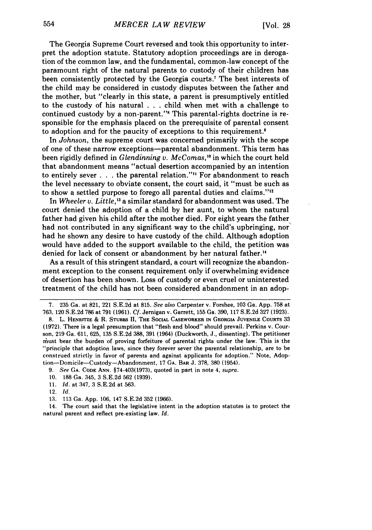The Georgia Supreme Court reversed and took this opportunity to interpret the adoption statute. Statutory adoption proceedings are in derogation of the common law, and the fundamental, common-law concept of the paramount right of the natural parents to custody of their children has been consistently protected by the Georgia courts.' The best interests of the child may be considered in custody disputes between the father and the mother, but "clearly in this state, a parent is presumptively entitled to the custody of his natural . . . child. when met with a challenge to continued custody by a non-parent."" This parental-rights doctrine is responsible for the emphasis placed on the prerequisite of parental consent to adoption and for the paucity of exceptions to this requirement.<sup>9</sup>

In *Johnson,* the supreme court was concerned primarily with the scope of one of these narrow exceptions-parental abandonment. This term has been rigidly defined in *Glendinning v. McComas*,<sup>10</sup> in which the court held that abandonment means "actual desertion accompanied by an intention to entirely sever . . . the parental relation."" For abandonment to reach the level necessary to obviate consent, the court said, it "must be such as to show a settled purpose to forego all parental duties and claims."''

In *Wheeler v. Little,13* a similar standard for abandonment was used. The court denied the adoption of a child by her aunt, to whom the natural father had given his child after the mother died. For eight years the father had not contributed in any significant way to the child's upbringing, nor had he shown any desire to have custody of the child. Although adoption would have added to the support available to the child, the petition was denied for lack of consent or abandonment by her natural father.'"

As a result of this stringent standard, a court will recognize the abandonment exception to the consent requirement only if overwhelming evidence of desertion has been shown. Loss of custody or even cruel or uninterested treatment of the child has not been considered abandonment in an adop-

9. *See* **GA. CODE ANN.** §74-403(1973), quoted in part in note 4, *supra.*

- 10. 188 Ga. 345, 3 S.E.2d 562 (1939).
- 11. *Id.* at 347, 3 S.E.2d at 563.
- 12. *Id.*
- 13. 113 Ga. App. 106, 147 S.E.2d 352 (1966).

14. The court said that the legislative intent in the adoption statutes is to protect the natural parent and reflect pre-existing law. *Id.*

<sup>7.</sup> 235 Ga. at 821, 221 S.E.2d at 815. *See also* Carpenter v. Forshee, 103 Ga. App. 758 at **763,** 120 S.E.2d 786 at **791** (1961). *Cf.* Jernigan v. Garrett, **155** Ga. 390, 117 S.E.2d 327 **(1923).**

**<sup>8.</sup>** L. HENRrrZE & R. **STUBBS II, THE SOCIAL** CASEWORKER **IN GEORGIA JUVENILE** COURTS 33 **(1972).** There is **a legal** presumption that "flesh and blood" should prevail. Perkins v. Courson, **219** Ga. 611, **625, 135** S.E.2d 388, **391** (1964) (Duckworth, J., dissenting). The petitioner must bear the burden of proving forfeiture of parental rights under the law. This is the "principle that adoption laws, since they forever sever the parental relationship, are to be construed strictly in favor of parents and against applicants for adoption." Note, Adoption-Domicile-Custody-Abandonment, 17 GA. BAR J. 378, 380 (1954).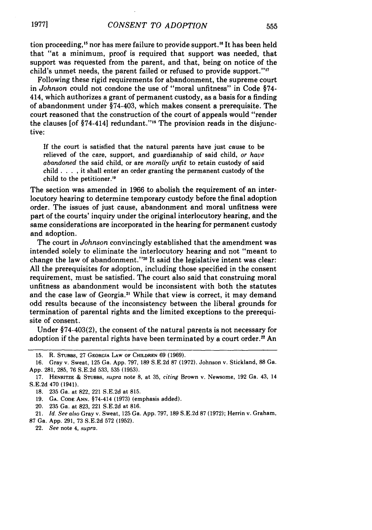tion proceeding,<sup>15</sup> nor has mere failure to provide support.<sup>16</sup> It has been held that "at a minimum, proof is required that support was needed, that support was requested from the parent, and that, being on notice of the child's unmet needs, the parent failed or refused to provide support."<sup>17</sup>

Following these rigid requirements for abandonment, the supreme court in *Johnson* could not condone the use of "moral unfitness" in Code §74- 414, which authorizes a grant of permanent custody, as a basis for a finding of abandonment under §74-403, which makes consent a prerequisite. The court reasoned that the construction of the court of appeals would "render the clauses  $[of §74-414]$  redundant."<sup>18</sup> The provision reads in the disjunctive:

If the court is satisfied that the natural parents have just cause to be relieved of the care, support, and guardianship of said child, *or have abandoned* the said child, or are *morally unfit* to retain custody of said child .**. . .**it shall enter an order granting the permanent custody of the child to the petitioner."

The section was amended in 1966 to abolish the requirement of an interlocutory hearing to determine temporary custody before the final adoption order. The issues of just cause, abandonment and moral unfitness were part of the courts' inquiry under the original interlocutory hearing, and the same considerations are incorporated in the hearing for permanent custody and adoption.

The court in *Johnson* convincingly established that the amendment was intended solely to eliminate the interlocutory hearing and not "meant to change the law of abandonment."<sup>20</sup> It said the legislative intent was clear: All the prerequisites for adoption, including those specified in the consent requirement, must be satisfied. The court also said that construing moral unfitness as abandonment would be inconsistent with both the statutes and the case law of Georgia.<sup>21</sup> While that view is correct, it may demand odd results because of the inconsistency between the liberal grounds for termination of parental rights and the limited exceptions to the prerequisite of consent.

Under §74-403(2), the consent of the natural parents is not necessary for adoption if the parental rights have been terminated by a court order.<sup>22</sup> An

20. **235** Ga. at **823,** 221 **S.E.2d** at **816.**

21. *Id. See also* Gray v. Sweat, **125** Ga. **App. 797, 189 S.E.2d 87 (1972);** Herrin **v.** Graham, **87** Ga. **App. 291, 73 S.E.2d 572 (1952).**

22. *See* note 4, **supra.**

**<sup>15.</sup>** R. **STUBBS, 27 GEORGIA LAW** OF **CHILDREN 69** (1969).

**<sup>16.</sup>** Gray v. Sweat, **125** Ga. **App. 797, 189 S.E2d 87 (1972).** Johnson v. Stickland, **88 Ga. App. 281, 285, 76 S.E.2d 533, 535 (1953).**

**<sup>17.</sup> HENNITZE & STUBBS,** supra note **8,** at **35,** *citing* Brown v. Newsome, **192** Ga. 43, 14 **S.E.2d** 470 (1941).

**<sup>18. 235</sup>** Ga. at **822,** 221 **S.E.2d** at **815.**

**<sup>19.</sup> GA. CODE ANN.** §74-414 **(1973)** (emphasis added).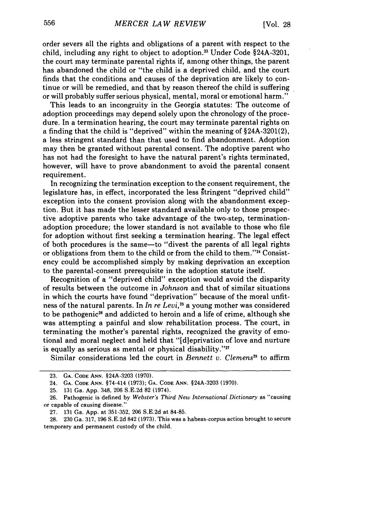order severs all the rights and obligations of a parent with respect to the child, including any right to object to adoption.23 Under Code §24A-3201, the court may terminate parental rights if, among other things, the parent has abandoned the child or "the child is a deprived child, and the court finds that the conditions and causes of the deprivation are likely to continue or will be remedied, and that by reason thereof the child is suffering or will probably suffer serious physical, mental, moral or emotional harm."

This leads to an incongruity in the Georgia statutes: The outcome of adoption proceedings may depend solely upon the chronology of the procedure. In a termination hearing, the court may terminate parental rights on a finding that the child is "deprived" within the meaning of §24A-3201(2), a less stringent standard than that used to find abandonment. Adoption may then be granted without parental consent. The adoptive parent who has not had the foresight to have the natural parent's rights terminated, however, will have to prove abandonment to avoid the parental consent requirement.

In recognizing the termination exception to the consent requirement, the legislature has, in effect, incorporated the less stringent "deprived child" exception into the consent provision along with the abandonment exception. But it has made the lesser standard available only to those prospective adoptive parents who take advantage of the two-step, terminationadoption procedure; the lower standard is not available to those who file for adoption without first seeking a termination hearing. The legal effect of both procedures is the same-to "divest the parents of all legal rights or obligations from them to the child or from the child to them."<sup>24</sup> Consistency could be accomplished simply by making deprivation an exception to the parental-consent prerequisite in the adoption statute itself.

Recognition of a "deprived child" exception would avoid the disparity of results between the outcome in *Johnson* and that of similar situations in which the courts have found "deprivation" because of the moral unfitness of the natural parents. In *In re Levi*,<sup>25</sup> a young mother was considered to be pathogenic<sup>26</sup> and addicted to heroin and a life of crime, although she was attempting a painful and slow rehabilitation process. The court, in terminating the mother's parental rights, recognized the gravity of emotional and moral neglect and held that "[dieprivation of love and nurture is equally as serious as mental or physical disability." $\mathbb{Z}$ 

Similar considerations led the court in *Bennett v. Clemens"* to affirm

**<sup>23.</sup> GA. CODE ANN.** §24A-3203 (1970).

<sup>24.</sup> **GA. CODE ANN.** §74-414 **(1973); GA. CODE ANN.** §24A-3203 **(1970).**

<sup>25. 131</sup> Ga. App. 348, 206 S.E.2d 82 (1974).

<sup>26.</sup> Pathogenic is defined by *Webster's Third New International Dictionary* as "causing or capable of causing disease."

<sup>27.</sup> **131** Ga. **App.** at 351-352, **206** S.E.2d at 84-85.

<sup>28. 230</sup> Ga. 317, 196 S.E.2d 842 (1973). This was a habeas-corpus action brought to secure temporary and permanent custody of the child.